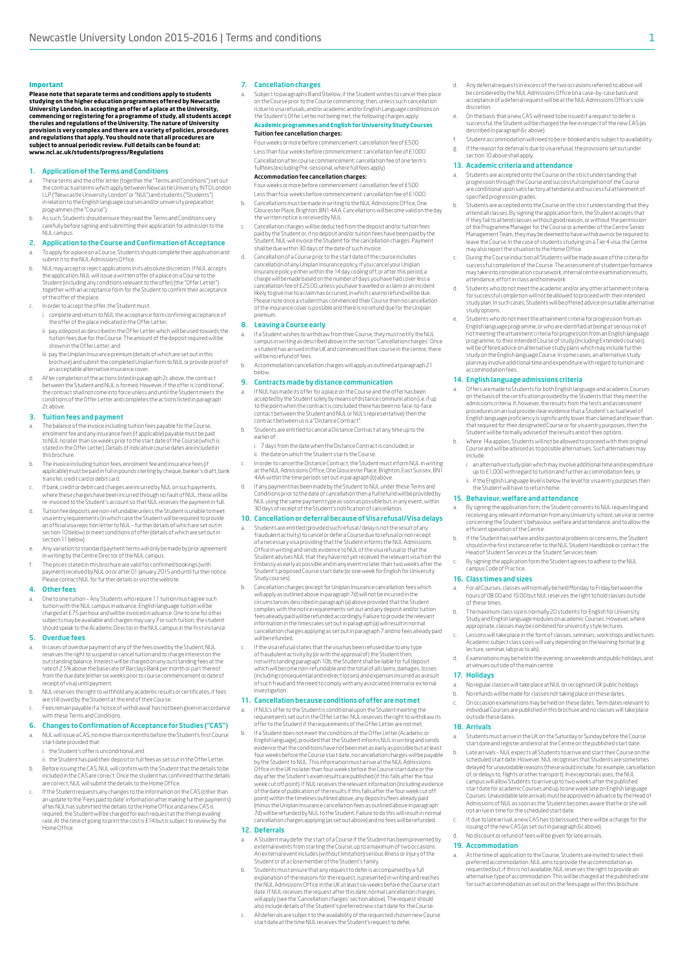### **Important**

**Please note that separate terms and conditions apply to students studying on the higher education programmes offered by Newcastle**  University London. In accepting an offer of a place at the University,<br>commencing or registering for a programme of study, all students accept<br>the rules and regulations of the University. The nature of University provision is very complex and there are a variety of policies, procedures<br>and regulations that apply. You should note that all procedures are<br>subject to annual periodic review. Full details can be found at:<br>www.ncl.ac.uk/s

# 1. Application of the Terms and Conditions

- a. These terms and the offer letter (together the "Terms and Conditions") set out the contractual terms which apply between Newcastle University INTO London LLP ("Newcastle University London" or "NUL") and students ("Students") in relation to the English language courses and/or university preparation programmes (the "Course").
- b. As such, Students should ensure they read the Terms and Conditions very carefully before signing and submitting their application for admission to the NUL campus.
- 2. Application to the Course and Confirmation of Acceptance a. To apply for a place on a Course, Students should complete their application and submit it to the NUL Admissions Office.
- b. NUL may accept or reject applications in its absolute discretion. If NUL accepts the application, NUL will issue a written offer of a place on a Course to the Student (including any conditions relevant to the offer) (the "Offer Letter")<br>together with an acceptance form for the Student to confirm their acceptance<br>of the offer of the place.
- In order to accept the offer, the Student must:
- i. complete and return to NUL the acceptance form confirming acceptance of the offer of the place indicated in the Offer Letter;
- ii. pay a deposit as described in the Offer Letter which will be used towards the tuition fees due for the Course. The amount of the deposit required will be shown in the Offer Letter; and
- iii. pay the Uniplan Insurance premium (details of which are set out in this brochure) and submit the completed Uniplan form to NUL or provide proof of an acceptable alternative insurance cover.
- d. After completion of the actions listed in paragraph 2c above, the contract between the Student and NUL is formed. However, if the offer is 'conditional', the contract shall not come into force unless and until the Student meets the conditions of the Offer Letter and completes the actions listed in paragraph

# 3. Tuition fees and payment

2c above.

- The balance of the invoice including tuition fees payable for the Course, enrolment fee and any insurance fees (if applicable) payable must be paid to NUL no later than six weeks prior to the start date of the Course (which is stated in the Offer Letter). Details of indicative course dates are included in this brochure.
- b. The invoice including tuition fees, enrolment fee and insurance fees (if applicable) must be paid in full in pounds sterling by cheque, banker's draft, bank transfer, credit card or debit card.
- If bank, credit or debit card charges are incurred by NUL on such payments where these charges have been incurred through no fault of NUL, these will be re-invoiced to the Student's account so that NUL receives the payment in full.
- d. Tuition fee deposits are non-refundable unless the Student is unable to meet visa entry requirements (in which case the Student will be required to provide<br>an official visa rejection letter to NUL – further details of which are set out in<br>section 10 below) or meet conditions of offer (details of wh section 11 below)
- Any variation to standard payment terms will only be made by prior agreem in writing by the Centre Director of the NUL campus.
- f. The prices stated in this brochure are valid for confirmed bookings (with payment) received by NUL on or after 01 January 2015 and until further notice. Please contact NUL for further details or visit the website.

#### 4. Other fees

a. One to one tuition – Any Students who require 1:1 tuition must agree such tuition with the NUL campus in advance. English language tuition will be<br>charged at E 75 per hour and will be invoiced in advance. One to one for other<br>subjects may be available and charges may vary. For such tuition, the should speak to the Academic Director in the NUL campus in the first instance.

### 5. Overdue fees

- a. In cases of overdue payment of any of the fees owed by the Student, NUL reserves the right to suspend or cancel tuition and to charge interest on the<br>outstanding balance. Interest will be charged on any outstanding fees at the<br>rate of 2.5% above the base rate of Barclays Bank per month or part from the due date (either six weeks prior to course commencement or date of receipt of visa) until payment.
- b. NUL reserves the right to withhold any academic results or certificates, if fees are still owed by the Student at the end of their Course. c. Fees remain payable if a 'notice of withdrawal' has not been given in accordance

# with these Terms and Conditions.

- 6. Changes to Confirmation of Acceptance for Studies ("CAS") a.<br>NUL will issue a CAS, no more than six months before the Student's first Course
	- start date provided that:
	- the Student's offer is unconditional; and
- ii. the Student has paid their deposit or full fees as set out in the Offer Letter. b. Before issuing the CAS, NUL will confirm with the Student that the details to be included in the CAS are correct. Once the student has confirmed that the details
- are correct, NUL will submit the details to the Home Office. c. If the Student requests any changes to the information on the CAS (other than an update to the 'Fees paid to date' information after making further payments) after NUL has submitted the details to the Home Office and a new CAS is required, the Student will be charged for each request at the then prevailing rate. At the time of going to print the cost is £14 but is subject to review by the Home Office.

#### 7. Cancellation charges

a. Subject to paragraphs 8 and 9 below, if the Student wishes to cancel their place on the Course prior to the Course commencing, then, unless such cancellation<br>is due to visa refusals, and/or academic and/or English Language conditions on<br>the Student's Offer Letter not being met, the following charges ap

### **Academic programmes and English for University Study Courses** Tuition fee cancellation charges:

Four weeks or more before commencement: cancellation fee of £500 Less than four weeks before commencement: cancellation fee of £1000 Cancellation after course commencement: cancellation fee of one term's fullfees (excluding Pre-sessional, where full fees apply)

# Accommodation fee cancellation charges:

Four weeks or more before commencement: cancellation fee of £500 Less than four weeks before commencement: cancellation fee of £1000

- b. Cancellations must be made in writing to the NUL Admissions Office, One Gloucester Place, Brighton, BN1 4AA. Cancellations will become valid on the day the written notice is received by NUL.
- c. Cancellation charges will be deducted from the deposit and/or tuition fees paid by the Student or, if no deposit and/or tuition fees have been paid by the<br>Student, NUL will invoice the Student for the cancellation charges. Payment<br>shall be due within 30 days of the date of such invoice.
- d. Cancellation of a Course prior to the start date of the course includes<br>cancellation of any Uniplan Insurance policy. If you cancel your Uniplan<br>Insurance policy either within the 14 day cooling off, or after this perio charge will be made based on the number of days you have had cover less a<br>cancellation fee of E25.00, unless you have travelled or a claim or an incident<br>likely to give rise to a claim has occurred, in which case no refund of the insurance cover is possible and there is no refund due for the Uniplan premium.

### 8. Leaving a Course early

- a. If a Student wishes to withdraw from their Course, they must notify the NUL<br>campus in writing as described above in the section 'Cancellation charges'. Once<br>a student has arrived in the UK and commenced their course in will be no refund of fees.
- b. Accommodation cancellation charges will apply as outlined at paragraph 21 below.

# 9. Contracts made by distance communication

- a. If NUL has made its offer for a place on the Course and the offer has been<br>accepted by the Student solely by means of distance communication (i.e. if up<br>to the point when the contract is concluded there has been no face contract between us is a "Distance Contract".
- b. Students are entitled to cancel a Distance Contract at any time up to the earlier of: 7 days from the date when the Distance Contract is concluded; or

the date on which the Student starts the Course.

- c. In order to cancel the Distance Contract, the Student must inform NUL in writing at the NUL Admissions Office, One Gloucester Place, Brighton, East Sussex, BN1 4AA within the time periods set out in paragraph (b) above.
- d. If any payment has been made by the Student to NUL under these Terms and Conditions prior to the date of cancellation then a full refund will be provided by NUL using the same payment type as soon as possible but, in any event, within 30 days of receipt of the Student's notification of cancellation.

# 10. Cancellation or deferral because of Visa refusal/Visa delays

- a. Students are entitled (provided such refusal / delay is not the result of any<br>fraudulent activity) to cancel or defer a Course due to refusal or non receipt<br>of a necessary visa providing that the Student informs the NUL Student advises NUL that they have not yet received the relevant visa from the<br>Embassy as early as possible and in any event no later than two weeks af ter the<br>Student's proposed Course start date (or one week for English Study courses).
- b. Cancellation charges (except for Uniplan Insurance cancellation fees which will apply as outlined above in paragraph 7d) will not be incurred in the circumstances described in paragraph (a) above provided that the Student<br>complies with the notice requirements set out and any deposit and/or tuition<br>fees already paid will be refunded accordingly. Failure to provide the r will be refunded.
- c. If the visa refusal states that the visa has been refused due to any type of fraudulent activity by (or with the approval of) the Student then,<br>notwithstanding paragraph 10b, the Student shall be liable for full deposit<br>which will become non-refundable and the total of all claims, damages, losse (including consequential and indirect losses) and expenses incurred as a result of such fraud and the need to comply with any associated internal or external nvestigation.

### 11. Cancellation because conditions of offer are not met

- If NUL's offer to the Student is conditional upon the Student meeting the requirements set out in the Offer Letter. NUL reserves the right to withdraw its offer to the Student if the requirements of the Offer Letter are not met.
- b. If a Student does not meet the conditions of the Offer Letter (Academic or English language), provided that the Student informs NUL in writing and sends<br>evidence that the conditions have not been met as early as possible but at least<br>four weeks before the Course start date, no cancellation charge Office in the UK no later than four weeks before the Course start date or the day after the Student's examresults are published (if this falls after the four<br>week cut off point). If NUL receives the relevant information (including evidence<br>of the date of publication of the results if this falls afte point) within the timelines outlined above, any deposits/fees already paid<br>(minus the Uniplan Insurance cancellation fees as outlined above in paragraph<br>7d) will be refunded by NUL to the Student. Failure to do this will r cancellation charges applying (as set out above) and no fees will be refunded.

# 12. Deferrals

- a. A Student may defer the start of a Course if the Student has been prevented by external events from starting the Course, up to a maximum of two occasions. An external event includes (without limitation) serious illness or injury of the Student or of a close member of the Student's family.
- b. Students must ensure that any request to defer is accompanied by a full<br>explanation of the reasons for the request, is presented in writing and reaches<br>the NUL Admissions Office in the UK at least six weeks before the C date. If NUL receives the request after this date, normal cancellation charges will apply (see the 'Cancellation charges' section above). The request should also include details of the Student's preferred new start date for the Course.
- c. All deferrals are subject to the availability of the requested chosen new Course start date at the time NUL receives the Student's request to defer.
- d. Any deferral requests in excess of the two occasions referred to above will be considered by the NUL Admissions Office on a case-by-case basis and acceptance of a deferral request will be at the NUL Admissions Office's sole discretion.
- On the basis that a new CAS will need to be issued if a request to defer successful, the Student will be charged the fee in respect of the new CAS (as described in paragraph 6c above).
- Student accommodation will need to be re-booked and is subject to availability. g. If the reason for deferral is due to visa refusal, the provisions set out under section 10 above shall apply.

#### 13. Academic criteria and attendance

- Students are accepted onto the Course on the strict understanding that progression through the Course and successful completion of the Course are conditional upon satisfactory attendance and successful attainment of specified progression grades.
- b. Students are accepted onto the Course on the strict understanding that they attend all classes. By signing the application form, the Student accepts that<br>if they fail to attend classes without good reason, or without the permission<br>of the Programme Manager for the Course or a member of the Centre Management Team, they may be deemed to have withdrawn or be required to<br>leave the Course. In the case of students studying on a Tier 4 visa, the Centre<br>may also report the situation to the Home Office.
- c. During the Course induction all Students will be made aware of the criteria for successful completion of the Course. The assessment of student performance may take into consideration coursework, internal centre examination results, attendance, effort in class and homework.
- d. Students who do not meet the academic and/or any other attainment criteria for successful completion will not be allowed to proceed with their intended study plan. In such cases, Students will be offered advice on suitable alternative study options.
- e. Students who do not meet the attainment criteria for progression from an English language programme, or who are identified at being at serious risk of not meeting the attainment criteria for progression from an English language<br>programme, to their intended Course of study (including Extended courses)<br>will be offered advice on alternative study plans which may include fur plan may involve additional time and expenditure with regard to tuition and accommodation fees.

### 14. English language admissions criteria

- a. Offers are made to Students for both English language and academic Courses<br>on the basis of the certification provided by the Students that they meet the<br>admissions criteria.If, however, the results from the test sand as English language proficiency is significantly lower than claimed and lower than<br>that required for their designated Course or for visa entry purposes, then the<br>Student will be formally advised of the results and of their op
- b. Where 14a applies, Students will not be allowed to proceed with their original Course and will be advised as to possible alternatives. Such alternatives may include:
	- i. an alternative study plan which may involve additional time and expenditure up to £1,000 with regard to tuition and further accommodation fees; or ii. if the English Language level is below the level for visa entry purposes then

#### the Student will have to return home. 15. Behaviour, welfare and attendance

- a. By signing the application form, the Student consents to NUL requesting and receiving any relevant information from any University school, service or centre concerning the Student's behaviour, welfare and attendance, and to allow the efficient operation of the Centre.
- b. If the Student has welfare and/or pastoral problems or concerns, the Student should in the first instance refer to the NUL Student Handbook or contact the Head of Student Services or the Student Services team.
- c. By signing the application form the Student agrees to adhere to the NUL campus Code of Practice.

#### 16. Class times and sizes

- a. For all Courses, classes will normally be held Monday to Friday between the hours of 08:00 and 19:00 but NUL reserves the right to hold classes outside of these times.
- The maximum class size is normally 20 students for English for University Study and English language modules on academic Courses. However, where appropriate, classes may be combined for university style lectures.
- c. Lessons will take place in the form of classes, seminars, workshops and lectures. Academic subject class sizes will vary depending on the learning format (e.g. lecture, seminar, lab practicals).
- d. Examinations may be held in the evening, on weekends and public holidays, and at venues outside of the main centre.

### 17. Holidays

- a. No regular classes will take place at NUL on recognised UK public holidays b. No refunds will be made for classes not taking place on these dates.
- c. On occasion examinations may be held on these dates. Term dates relevant to individual Courses are published in this brochure and no classes will take place outside these dates.

#### 18. Arrivals

- Students must arrive in the UK on the Saturday or Sunday before the Course start date and register and enrol at the Centre on the published start date. b. Late arrivals – NUL expects all Students to arrive and start their Course on the scheduled start date. However, NUL recognises that Students are sometimes<br>delayed for unavoidable reasons (these would include, for example, cancellation<br>of, or delays to, flights or other transport). In exceptional cases,
- start date for academic Courses and up to one week late on English language<br>Courses. Unavoidable late arrivals must be approved in advance by the Head of<br>Admissions of NUL as soon as the Student becomes aware that he or sh
- c. If, due to late arrival, a new CAS has to be issued, there will be a charge for the issuing of the new CAS (as set out in paragraph 6c above). d. No discount or refund of fees will be given for late arrivals.

# 19. Accommodation

At the time of application to the Course, Students are invited to select their preferred accommodation. NUL aims to provide the accommodation as requested but, if this is not available, NUL reserves the right to provide an alternative type of accommodation. This will be charged at the published rate for such accommodation as set out on the fees page within this brochure.